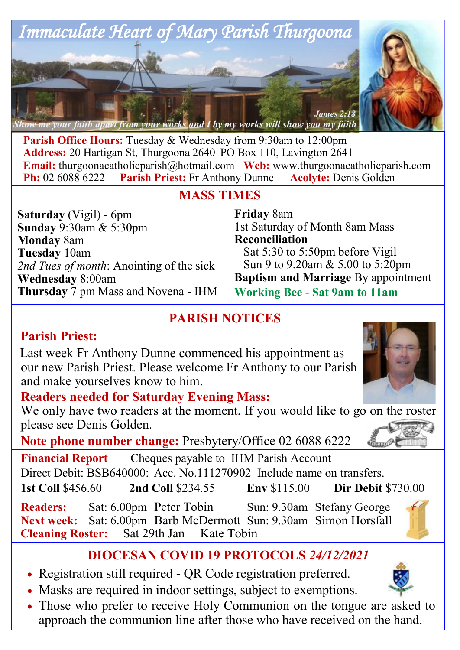

**Parish Office Hours:** Tuesday & Wednesday from 9:30am to 12:00pm **Address:** 20 Hartigan St, Thurgoona 2640 PO Box 110, Lavington 2641 **Email:** thurgoonacatholicparish@hotmail.com Web: www.thurgoonacatholicparish.com<br> **Ph:** 02 6088 6222 Parish Priest: Fr Anthony Dunne Acolyte: Denis Golden **Parish Priest:** Fr Anthony Dunne **Acolyte:** Denis Golden

## **MASS TIMES**

**Saturday** (Vigil) - 6pm **Sunday** 9:30am & 5:30pm **Monday** 8am **Tuesday** 10am *2nd Tues of month*: Anointing of the sick **Wednesday** 8:00am **Thursday** 7 pm Mass and Novena - IHM

### **Friday** 8am 1st Saturday of Month 8am Mass **Reconciliation**  Sat 5:30 to 5:50pm before Vigil Sun 9 to 9.20am & 5.00 to 5:20pm **Baptism and Marriage** By appointment **Working Bee - Sat 9am to 11am**

# **PARISH NOTICES**

# **Parish Priest:**

Last week Fr Anthony Dunne commenced his appointment as our new Parish Priest. Please welcome Fr Anthony to our Parish and make yourselves know to him.



We only have two readers at the moment. If you would like to go on the roster please see Denis Golden.

**Note phone number change:** Presbytery/Office 02 6088 6222

**Financial Report** Cheques payable to IHM Parish Account Direct Debit: BSB640000: Acc. No.111270902 Include name on transfers. **1st Coll** \$456.60 **2nd Coll** \$234.55 **Env** \$115.00 **Dir Debit** \$730.00

**Readers:** Sat: 6.00pm Peter Tobin Sun: 9.30am Stefany George **Next week:** Sat: 6.00pm Barb McDermott Sun: 9.30am Simon Horsfall **Cleaning Roster:** Sat 29th Jan Kate Tobin



- Registration still required QR Code registration preferred.
- Masks are required in indoor settings, subject to exemptions.
- Those who prefer to receive Holy Communion on the tongue are asked to approach the communion line after those who have received on the hand.











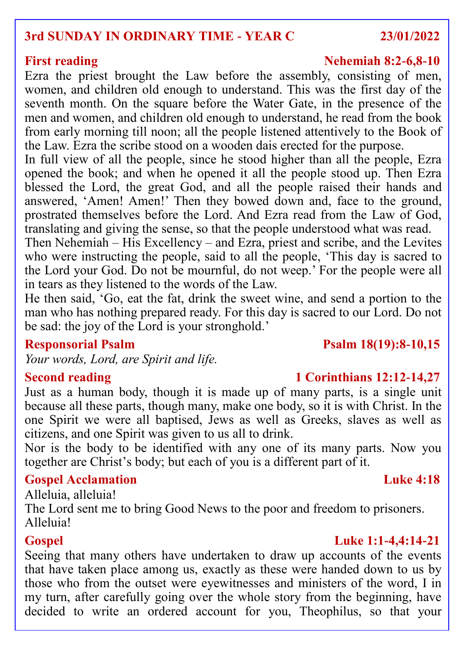### **3rd SUNDAY IN ORDINARY TIME - YEAR C 23/01/2022**

Ezra the priest brought the Law before the assembly, consisting of men, women, and children old enough to understand. This was the first day of the seventh month. On the square before the Water Gate, in the presence of the men and women, and children old enough to understand, he read from the book from early morning till noon; all the people listened attentively to the Book of the Law. Ezra the scribe stood on a wooden dais erected for the purpose.

In full view of all the people, since he stood higher than all the people, Ezra opened the book; and when he opened it all the people stood up. Then Ezra blessed the Lord, the great God, and all the people raised their hands and answered, 'Amen! Amen!' Then they bowed down and, face to the ground, prostrated themselves before the Lord. And Ezra read from the Law of God, translating and giving the sense, so that the people understood what was read.

Then Nehemiah – His Excellency – and Ezra, priest and scribe, and the Levites who were instructing the people, said to all the people, 'This day is sacred to the Lord your God. Do not be mournful, do not weep.' For the people were all in tears as they listened to the words of the Law.

He then said, 'Go, eat the fat, drink the sweet wine, and send a portion to the man who has nothing prepared ready. For this day is sacred to our Lord. Do not be sad: the joy of the Lord is your stronghold.'

## **Responsorial Psalm Psalm 18(19):8-10,15**

*Your words, Lord, are Spirit and life.*

Just as a human body, though it is made up of many parts, is a single unit because all these parts, though many, make one body, so it is with Christ. In the one Spirit we were all baptised, Jews as well as Greeks, slaves as well as citizens, and one Spirit was given to us all to drink.

Nor is the body to be identified with any one of its many parts. Now you together are Christ's body; but each of you is a different part of it.

### **Gospel Acclamation Luke 4:18**

Alleluia, alleluia!

The Lord sent me to bring Good News to the poor and freedom to prisoners. Alleluia!

### Seeing that many others have undertaken to draw up accounts of the events that have taken place among us, exactly as these were handed down to us by those who from the outset were eyewitnesses and ministers of the word, I in my turn, after carefully going over the whole story from the beginning, have decided to write an ordered account for you, Theophilus, so that your

### **First reading Nehemiah 8:2-6,8-10**

# **1 Corinthians 12:12-14,27**

## **Gospel Luke 1:1-4,4:14-21**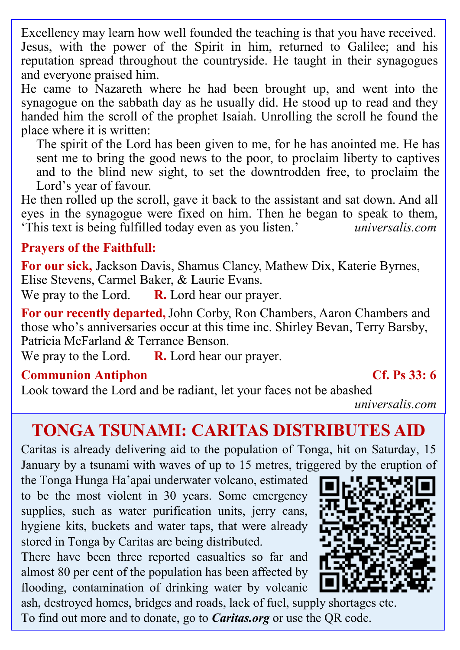Excellency may learn how well founded the teaching is that you have received. Jesus, with the power of the Spirit in him, returned to Galilee; and his reputation spread throughout the countryside. He taught in their synagogues and everyone praised him.

He came to Nazareth where he had been brought up, and went into the synagogue on the sabbath day as he usually did. He stood up to read and they handed him the scroll of the prophet Isaiah. Unrolling the scroll he found the place where it is written:

The spirit of the Lord has been given to me, for he has anointed me. He has sent me to bring the good news to the poor, to proclaim liberty to captives and to the blind new sight, to set the downtrodden free, to proclaim the Lord's year of favour.

He then rolled up the scroll, gave it back to the assistant and sat down. And all eyes in the synagogue were fixed on him. Then he began to speak to them, 'This text is being fulfilled today even as you listen.' *universalis.com*

## **Prayers of the Faithfull:**

**For our sick,** Jackson Davis, Shamus Clancy, Mathew Dix, Katerie Byrnes, Elise Stevens, Carmel Baker, & Laurie Evans.

We pray to the Lord. **R.** Lord hear our prayer.

**For our recently departed,**John Corby, Ron Chambers, Aaron Chambers and those who's anniversaries occur at this time inc. Shirley Bevan, Terry Barsby, Patricia McFarland & Terrance Benson.

We pray to the Lord. **R.** Lord hear our prayer.

### **Communion Antiphon Cf. Ps 33: 6**

Look toward the Lord and be radiant, let your faces not be abashed

*universalis.com*

# **TONGA TSUNAMI: CARITAS DISTRIBUTES AID**

Caritas is already delivering aid to the population of Tonga, hit on Saturday, 15 January by a tsunami with waves of up to 15 metres, triggered by the eruption of

the Tonga Hunga Ha'apai underwater volcano, estimated to be the most violent in 30 years. Some emergency supplies, such as water purification units, jerry cans, hygiene kits, buckets and water taps, that were already stored in Tonga by Caritas are being distributed.

There have been three reported casualties so far and almost 80 per cent of the population has been affected by flooding, contamination of drinking water by volcanic